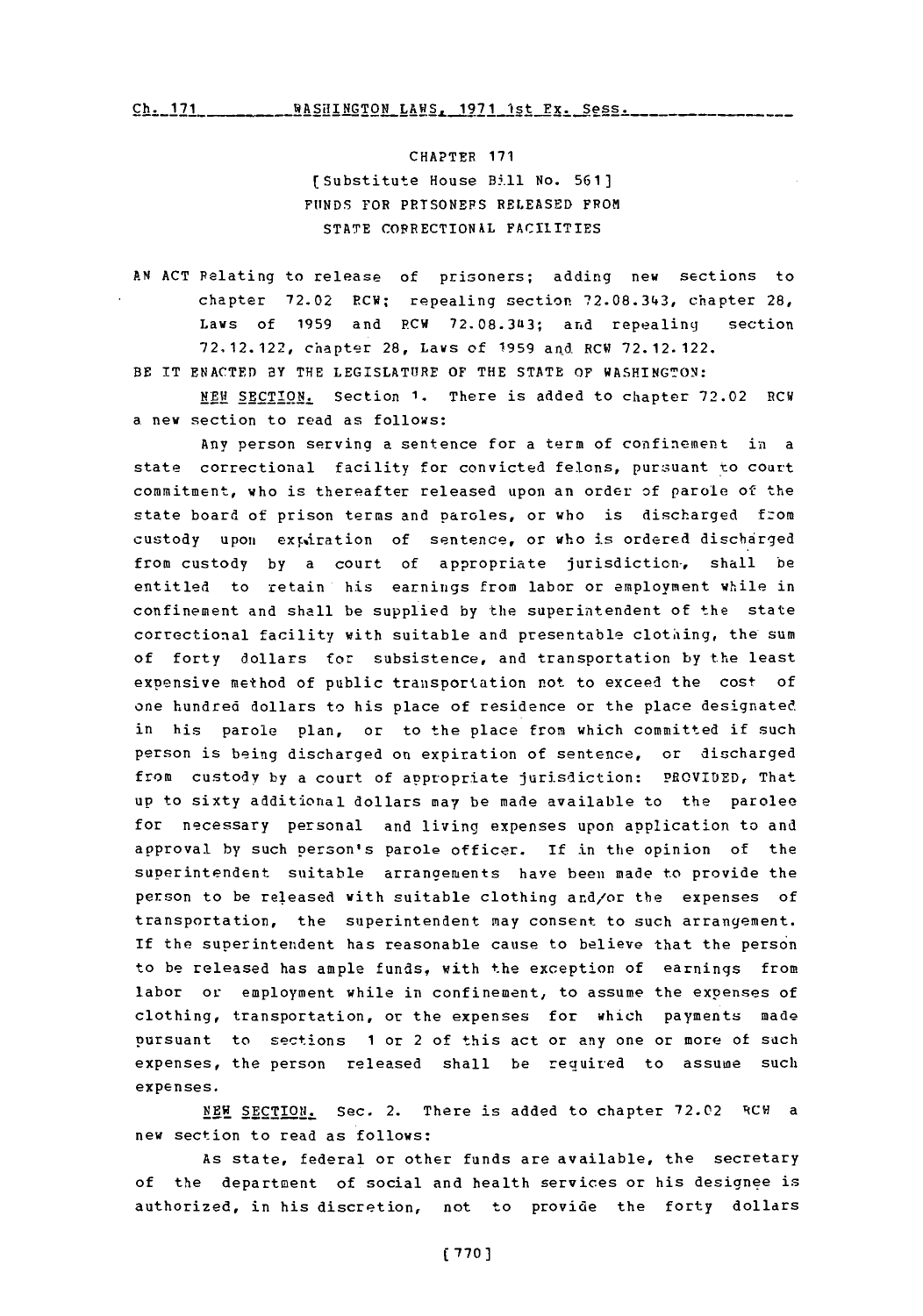$Ch. 171$  WASHINGTON LAWS, 1971 1st Px. Sess.

CHAPTER **171** (lSubstitute House B5.ll No. **561] FUNDS** FOR **PRISONERS RELEASED** FROM **STATE** CORRECTIONAL **FACILITIES**

**AN ACT** Relating to release of prisoners; adding new sections to chapter **72.02** RCW; repealing section **72.08.34.3,** chapter 28, Laws of **1959** and RCW **72.08.3413;** and repealing section **72,12.122,** chapter **28,** Laws of **1959** and RCW **72.12. 122.** BE IT **ENACTED** BY THE LEGISLATURE OF THE **STATE** OF WASHINGTON:

**NEW SECTION.** Section **1.** There is added to chapter **72.02** RCW a new section to read as follows:

Any person serving a sentence for a term of confinement in a state correctional facility for convicted felons, pursuant to court commitment, who is thereafter released upon an order of parole of the state board of prison terms and paroles, or who is discharged fzom custody upon expiration of sentence, or who is ordered discharged from custody by a court of appropriate jurisdiction, shall be entitled to retain his earnings from labor or employment while in confinement and shall be supplied by the superintendent of the state correctional facility with suitable and presentable clothiing, the sum of forty dollars for subsistence, and transportation **by** the least expensive method of public transportation not to exceed the cost **of** one hundred dollars to his place of residence or the place designated in his parole plan, or to the place from which committed if such person is being discharged on expiration of sentence, or discharged from custody **by** a court of appropriate jurisdiction: PROVIDED, That **up** to sixty additional dollars may be made available to the parolee for necessary personal and living expenses upon application to and approval **by** such person's parole officer. If in the opinion of the superintendent suitable arranoements have been made to provide the person to be released with suitable clothing and/or the expenses of transportation, the superintendent may consent to such arrangement. If the superintendent has reasonable cause to believe that the person to be released has ample funds, with the exception of earnings from labor or employment while in confinement, to assume the expenses of clothing, transportation, or the expenses for which payments made pursuant to sections 1 or 2 of this act or any one or more of such expenses, the person released shall be required to assume such expenses.

**NEW SECTION.** Sec. 2. There is added to chapter **72.02** RCW <sup>a</sup> new section to read as follows:

**As** state, federal or other funds are available, the secretary of the department of social and health services or his designee is authorized, in his discretion, not to provide the forty dollars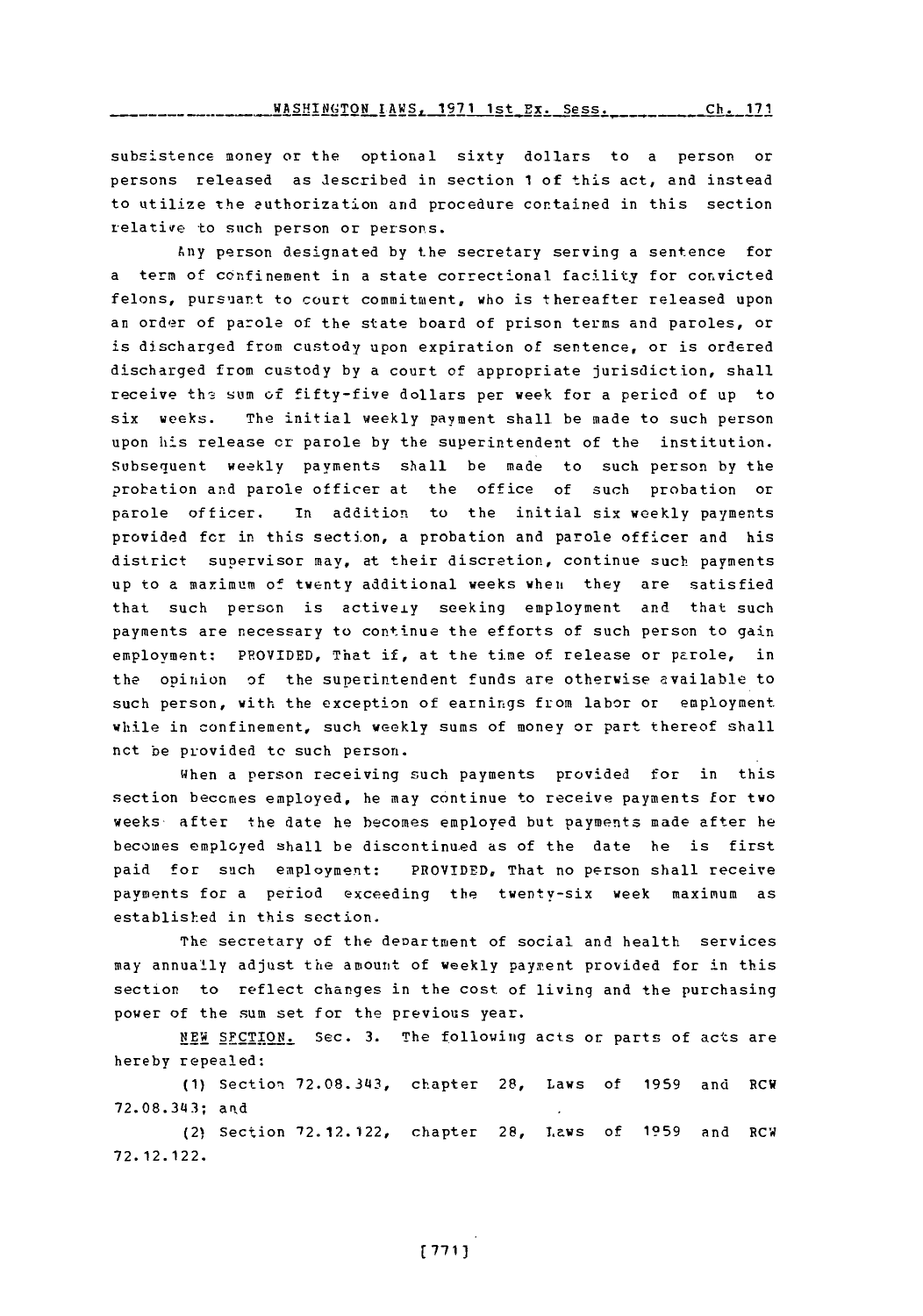**WASHINGTON LAWS, 1971 1st Ex. Sess.** Ch. 171

subsistence money or the optional sixty dollars to a person or persons released as described in section **1** of this act, and instead to utilize the authorization and procedure contained in this section relative to such person or persons.

Any person designated **by** the secretary serving a sentence for a term of confinement in a state correctional facility for convicted felons, pursuant to court commitment, who is thereafter released upon an order of parole of the state board of prison terms and paroles, or is discharged from custody upon expiration of sentence, or is ordered discharged from custody **by** a court of appropriate jurisdiction, shall receive ths sum of fifty-five dollars per week for a period of up to six weeks. The initial weekly payment shall be made to such person upon his release cr parole **by** the superintendent of the institution. Subsequent weekly payments shall be made to such person **by** the probation and parole officer at the office of such probation or parole officer. in addition to the initial six weekly payments provided for in this section, a probation and parole officer and his district supervisor may, at their discretion, continue such payments up to a maximum of twenty additional weeks when they are satisfied that such person is activeiy seeking employment and that such payments are necessary to continue the efforts of such person to gain employment: PROVIDED, That *if,* at the time of release or parole, in the opinion of the superintendent funds are otherwise available to such person, with the exception of earnings from labor or employment while in confinement, such weekly sums of money or part thereof shall nct be provided to such person.

When a person receiving such payments provided for in this section becomes employed, he may continue to receive payments for two weeks after the date he becomes employed but payments made after he becomes employed shall be discontinued as of the date he is first paid for such employment: PROVIDED, That no person shall receive payments for a period exceeding the twenty-six week maximum as established in this section.

The secretary of the deoartment of social and health services may annually adjust the amount of weekly paywent provided for in this section to reflect changes in the cost of living and the purchasing power of the sum set for the previous year.

**NEW** SFCTION. Sec. **3.** The following acts or parts of acts are hereby repealed:

**(1)** Section **72.08.343,** chapter 28, Laws of **1959** and RCW **72.08.3143;** arid

(2) Section **'72.12.122,** chapter **28,** Laws of **1959** and RCW **72. 12. 122.**